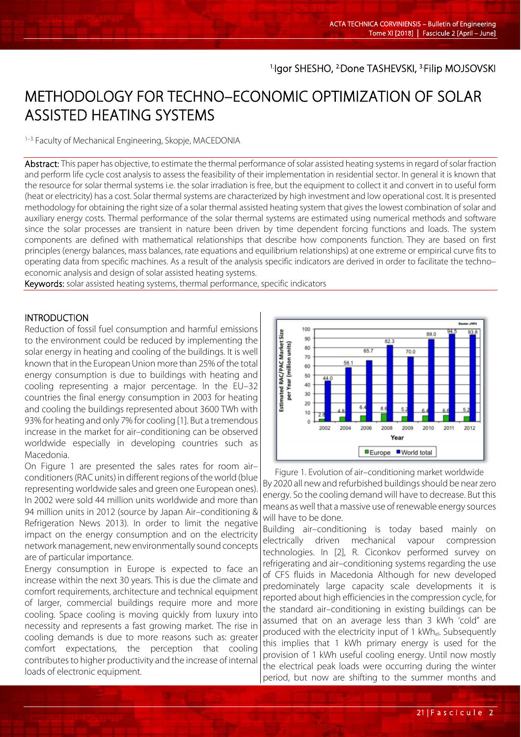# <sup>1.</sup>Igor SHESHO, <sup>2.</sup>Done TASHEVSKI, <sup>3.</sup>Filip MOJSOVSKI

# METHODOLOGY FOR TECHNO–ECONOMIC OPTIMIZATION OF SOLAR ASSISTED HEATING SYSTEMS

1–3. Faculty of Mechanical Engineering, Skopje, MACEDONIA

Abstract: This paper has objective, to estimate the thermal performance of solar assisted heating systems in regard of solar fraction and perform life cycle cost analysis to assess the feasibility of their implementation in residential sector. In general it is known that the resource for solar thermal systems i.e. the solar irradiation is free, but the equipment to collect it and convert in to useful form (heat or electricity) has a cost. Solar thermal systems are characterized by high investment and low operational cost. It is presented methodology for obtaining the right size of a solar thermal assisted heating system that gives the lowest combination of solar and auxiliary energy costs. Thermal performance of the solar thermal systems are estimated using numerical methods and software since the solar processes are transient in nature been driven by time dependent forcing functions and loads. The system components are defined with mathematical relationships that describe how components function. They are based on first principles (energy balances, mass balances, rate equations and equilibrium relationships) at one extreme or empirical curve fits to operating data from specific machines. As a result of the analysis specific indicators are derived in order to facilitate the techno– economic analysis and design of solar assisted heating systems.

Keywords: solar assisted heating systems, thermal performance, specific indicators

#### INTRODUCTION

l

Reduction of fossil fuel consumption and harmful emissions to the environment could be reduced by implementing the solar energy in heating and cooling of the buildings. It is well known that in the European Union more than 25% of the total energy consumption is due to buildings with heating and cooling representing a major percentage. In the EU–32 countries the final energy consumption in 2003 for heating and cooling the buildings represented about 3600 TWh with 93% for heating and only 7% for cooling [1]. But a tremendous increase in the market for air–conditioning can be observed worldwide especially in developing countries such as Macedonia.

On Figure 1 are presented the sales rates for room air– conditioners (RAC units) in different regions of the world (blue representing worldwide sales and green one European ones). In 2002 were sold 44 million units worldwide and more than 94 million units in 2012 (source by Japan Air–conditioning & Refrigeration News 2013). In order to limit the negative impact on the energy consumption and on the electricity network management, new environmentally sound concepts are of particular importance.

Energy consumption in Europe is expected to face an increase within the next 30 years. This is due the climate and comfort requirements, architecture and technical equipment of larger, commercial buildings require more and more cooling. Space cooling is moving quickly from luxury into necessity and represents a fast growing market. The rise in cooling demands is due to more reasons such as: greater comfort expectations, the perception that cooling contributes to higher productivity and the increase of internal loads of electronic equipment.



Figure 1. Evolution of air–conditioning market worldwide By 2020 all new and refurbished buildings should be near zero energy. So the cooling demand will have to decrease. But this means as well that a massive use of renewable energy sources will have to be done.

Building air–conditioning is today based mainly on electrically driven mechanical vapour compression technologies. In [2], R. Ciconkov performed survey on refrigerating and air–conditioning systems regarding the use of CFS fluids in Macedonia Although for new developed predominately large capacity scale developments it is reported about high efficiencies in the compression cycle, for the standard air–conditioning in existing buildings can be assumed that on an average less than 3 kWh 'cold" are produced with the electricity input of 1 kWh<sub>el</sub>. Subsequently this implies that 1 kWh primary energy is used for the provision of 1 kWh useful cooling energy. Until now mostly the electrical peak loads were occurring during the winter period, but now are shifting to the summer months and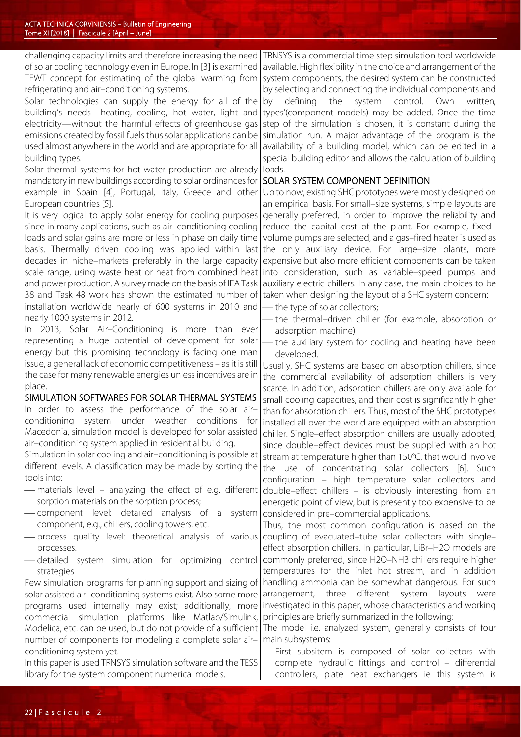challenging capacity limits and therefore increasing the need of solar cooling technology even in Europe. In [3] is examined TEWT concept for estimating of the global warming from refrigerating and air–conditioning systems.

Solar technologies can supply the energy for all of the building's needs—heating, cooling, hot water, light and electricity—without the harmful effects of greenhouse gas emissions created by fossil fuels thus solar applications can be used almost anywhere in the world and are appropriate for all building types.

Solar thermal systems for hot water production are already mandatory in new buildings according to solar ordinances for example in Spain [4], Portugal, Italy, Greece and other European countries [5].

It is very logical to apply solar energy for cooling purposes since in many applications, such as air–conditioning cooling loads and solar gains are more or less in phase on daily time basis. Thermally driven cooling was applied within last decades in niche–markets preferably in the large capacity scale range, using waste heat or heat from combined heat and power production. A survey made on the basis of IEA Task 38 and Task 48 work has shown the estimated number of installation worldwide nearly of 600 systems in 2010 and nearly 1000 systems in 2012.

In 2013, Solar Air–Conditioning is more than ever representing a huge potential of development for solar energy but this promising technology is facing one man issue, a general lack of economic competitiveness – as it is still the case for many renewable energies unless incentives are in place.

SIMULATION SOFTWARES FOR SOLAR THERMAL SYSTEMS In order to assess the performance of the solar air– conditioning system under weather conditions for Macedonia, simulation model is developed for solar assisted air–conditioning system applied in residential building.

Simulation in solar cooling and air–conditioning is possible at different levels. A classification may be made by sorting the tools into:

- materials level analyzing the effect of e.g. different sorption materials on the sorption process;
- component level: detailed analysis of a system component, e.g., chillers, cooling towers, etc.
- process quality level: theoretical analysis of various processes.
- detailed system simulation for optimizing control strategies

Few simulation programs for planning support and sizing of solar assisted air–conditioning systems exist. Also some more programs used internally may exist; additionally, more commercial simulation platforms like Matlab/Simulink, Modelica, etc. can be used, but do not provide of a sufficient number of components for modeling a complete solar air– conditioning system yet.

In this paper is used TRNSYS simulation software and the TESS library for the system component numerical models.

TRNSYS is a commercial time step simulation tool worldwide available. High flexibility in the choice and arrangement of the system components, the desired system can be constructed by selecting and connecting the individual components and by defining the system control. Own written, types'(component models) may be added. Once the time step of the simulation is chosen, it is constant during the simulation run. A major advantage of the program is the availability of a building model, which can be edited in a special building editor and allows the calculation of building loads.

### SOLAR SYSTEM COMPONENT DEFINITION

Up to now, existing SHC prototypes were mostly designed on an empirical basis. For small–size systems, simple layouts are generally preferred, in order to improve the reliability and reduce the capital cost of the plant. For example, fixed– volume pumps are selected, and a gas–fired heater is used as the only auxiliary device. For large–size plants, more expensive but also more efficient components can be taken into consideration, such as variable–speed pumps and auxiliary electric chillers. In any case, the main choices to be taken when designing the layout of a SHC system concern:

- the type of solar collectors;
- the thermal–driven chiller (for example, absorption or adsorption machine);
- the auxiliary system for cooling and heating have been developed.

Usually, SHC systems are based on absorption chillers, since the commercial availability of adsorption chillers is very scarce. In addition, adsorption chillers are only available for small cooling capacities, and their cost is significantly higher than for absorption chillers. Thus, most of the SHC prototypes installed all over the world are equipped with an absorption chiller. Single–effect absorption chillers are usually adopted, since double–effect devices must be supplied with an hot stream at temperature higher than 150°C, that would involve the use of concentrating solar collectors [6]. Such configuration – high temperature solar collectors and double–effect chillers – is obviously interesting from an energetic point of view, but is presently too expensive to be considered in pre–commercial applications.

Thus, the most common configuration is based on the coupling of evacuated–tube solar collectors with single– effect absorption chillers. In particular, LiBr–H2O models are commonly preferred, since H2O–NH3 chillers require higher temperatures for the inlet hot stream, and in addition handling ammonia can be somewhat dangerous. For such arrangement, three different system layouts were investigated in this paper, whose characteristics and working principles are briefly summarized in the following:

The model i.e. analyzed system, generally consists of four main subsystems:

 First subsitem is composed of solar collectors with complete hydraulic fittings and control – differential controllers, plate heat exchangers ie this system is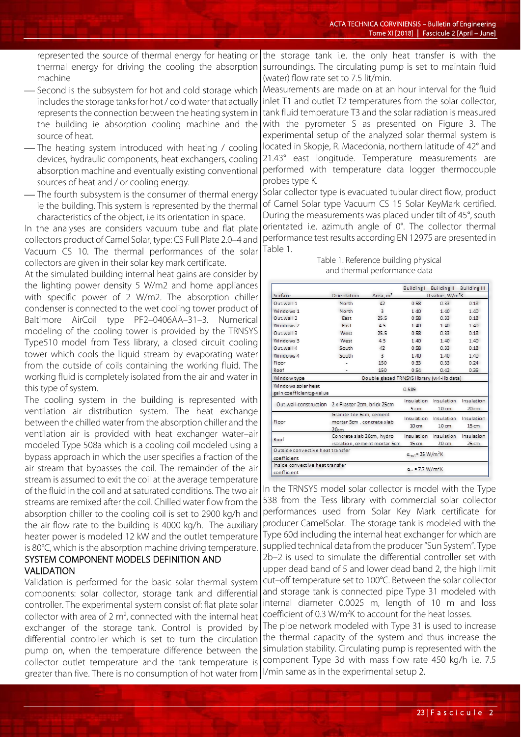represented the source of thermal energy for heating or thermal energy for driving the cooling the absorption machine

- Second is the subsystem for hot and cold storage which includes the storage tanks for hot / cold water that actually represents the connection between the heating system in the building ie absorption cooling machine and the source of heat.
- The heating system introduced with heating / cooling devices, hydraulic components, heat exchangers, cooling absorption machine and eventually existing conventional sources of heat and / or cooling energy.
- The fourth subsystem is the consumer of thermal energy ie the building. This system is represented by the thermal characteristics of the object, i.e its orientation in space.

In the analyses are considers vacuum tube and flat plate collectors product of Camel Solar, type: CS Full Plate 2.0–4 and Vacuum CS 10. The thermal performances of the solar collectors are given in their solar key mark certificate.

At the simulated building internal heat gains are consider by the lighting power density 5 W/m2 and home appliances with specific power of 2 W/m2. The absorption chiller condenser is connected to the wet cooling tower product of Baltimore AirCoil type PF2–0406AA–31–3. Numerical modeling of the cooling tower is provided by the TRNSYS Type510 model from Tess library, a closed circuit cooling tower which cools the liquid stream by evaporating water from the outside of coils containing the working fluid. The working fluid is completely isolated from the air and water in this type of system.

The cooling system in the building is represented with ventilation air distribution system. The heat exchange between the chilled water from the absorption chiller and the ventilation air is provided with heat exchanger water–air modeled Type 508a which is a cooling coil modeled using a bypass approach in which the user specifies a fraction of the air stream that bypasses the coil. The remainder of the air stream is assumed to exit the coil at the average temperature of the fluid in the coil and at saturated conditions. The two air streams are remixed after the coil. Chilled water flow from the absorption chiller to the cooling coil is set to 2900 kg/h and the air flow rate to the building is 4000 kg/h. The auxiliary heater power is modeled 12 kW and the outlet temperature is 80°C, which is the absorption machine driving temperature.

## SYSTEM COMPONENT MODELS DEFINITION AND VALIDATION

Validation is performed for the basic solar thermal system components: solar collector, storage tank and differential controller. The experimental system consist of: flat plate solar collector with area of  $2 \text{ m}^2$ , connected with the internal heat exchanger of the storage tank. Control is provided by differential controller which is set to turn the circulation pump on, when the temperature difference between the collector outlet temperature and the tank temperature is greater than five. There is no consumption of hot water from  $|V$ min same as in the experimental setup 2.

the storage tank i.e. the only heat transfer is with the surroundings. The circulating pump is set to maintain fluid (water) flow rate set to 7.5 lit/min.

Measurements are made on at an hour interval for the fluid inlet T1 and outlet T2 temperatures from the solar collector, tank fluid temperature T3 and the solar radiation is measured with the pyrometer S as presented on Figure 3. The experimental setup of the analyzed solar thermal system is located in Skopje, R. Macedonia, northern latitude of 42° and 21.43° east longitude. Temperature measurements are performed with temperature data logger thermocouple probes type K.

Solar collector type is evacuated tubular direct flow, product of Camel Solar type Vacuum CS 15 Solar KeyMark certified. During the measurements was placed under tilt of 45°, south orientated i.e. azimuth angle of 0°. The collector thermal performance test results according EN 12975 are presented in Table 1.

Table 1. Reference building physical and thermal performance data

|                                  |                                                       |                      |                                        | Building   Building    Building |                 |
|----------------------------------|-------------------------------------------------------|----------------------|----------------------------------------|---------------------------------|-----------------|
| Surface                          | Orientation                                           | Area, m <sup>2</sup> | U value, W/m <sup>2</sup> K            |                                 |                 |
| Out wall 1                       | North                                                 | 42                   | 0.58                                   | 0.33                            | 0.18            |
| Windows 1                        | North                                                 | $\overline{3}$       | 1.40                                   | 1.40                            | 1.40            |
| Out.wall 2                       | East                                                  | 25.5                 | 0.58                                   | 0.33                            | 0.18            |
| Windows 2                        | East                                                  | 4.5                  | 1.40                                   | 1.40                            | 1.40            |
| Out.wall 3                       | West                                                  | 25.5                 | 0.58                                   | 0.33                            | 0.18            |
| Windows 3                        | West                                                  | 4.5                  | 1.40                                   | 1.40                            | 1.40            |
| Out.wall 4                       | South                                                 | 42                   | 0.58                                   | 0.33                            | 0.18            |
| Windows 4                        | South                                                 | $\overline{3}$       | 1.40                                   | 1.40                            | 1.40            |
| Floor                            |                                                       | 150                  | 0.33                                   | 0.33                            | 0.24            |
| Roof                             |                                                       | 150                  | 0.54                                   | 0.42                            | 0.35            |
| Window type                      | Double glazed TRNSYS library (w4-lib data)            |                      |                                        |                                 |                 |
| Windows solar heat               |                                                       |                      | 0.589                                  |                                 |                 |
| gain coefficient; g-value        |                                                       |                      |                                        |                                 |                 |
|                                  | Out.wall construction 2 x Plaster 2cm, brick 25cm     |                      | Insulation                             | Insulation                      | Insulation      |
|                                  |                                                       |                      | 5 <sub>cm</sub>                        | 10 <sub>cm</sub>                | 20 cm           |
| Floor                            | Granite tile 6cm, cement<br>mortar 5cm, concrete slab |                      | Insulation                             | Insulation                      | Insulation      |
|                                  |                                                       |                      | 10 <sub>cm</sub>                       | $10 \, \text{cm}$               | $15 \text{ cm}$ |
| Roof                             | 20cm<br>Concrete slab 20cm, hydro                     |                      | Insulation                             | Insulation                      | Insulation      |
|                                  | isolation, cement mortar 5cm                          |                      | 15 <sub>cm</sub>                       | 20 <sub>cm</sub>                | 25 cm           |
| Outside convective heat transfer |                                                       |                      | $\alpha_{out}$ = 25 W/m <sup>2</sup> K |                                 |                 |
| coefficient                      |                                                       |                      |                                        |                                 |                 |
| Inside convective heat transfer  |                                                       |                      |                                        |                                 |                 |
| coefficient                      |                                                       |                      | $\alpha_{in}$ = 7.7 W/m <sup>2</sup> K |                                 |                 |

In the TRNSYS model solar collector is model with the Type 538 from the Tess library with commercial solar collector performances used from Solar Key Mark certificate for producer CamelSolar. The storage tank is modeled with the Type 60d including the internal heat exchanger for which are supplied technical data from the producer "Sun System". Type 2b–2 is used to simulate the differential controller set with upper dead band of 5 and lower dead band 2, the high limit cut–off temperature set to 100°C. Between the solar collector and storage tank is connected pipe Type 31 modeled with internal diameter 0.0025 m, length of 10 m and loss coefficient of 0.3 W/m<sup>2</sup>K to account for the heat losses. The pipe network modeled with Type 31 is used to increase

the thermal capacity of the system and thus increase the simulation stability. Circulating pump is represented with the component Type 3d with mass flow rate 450 kg/h i.e. 7.5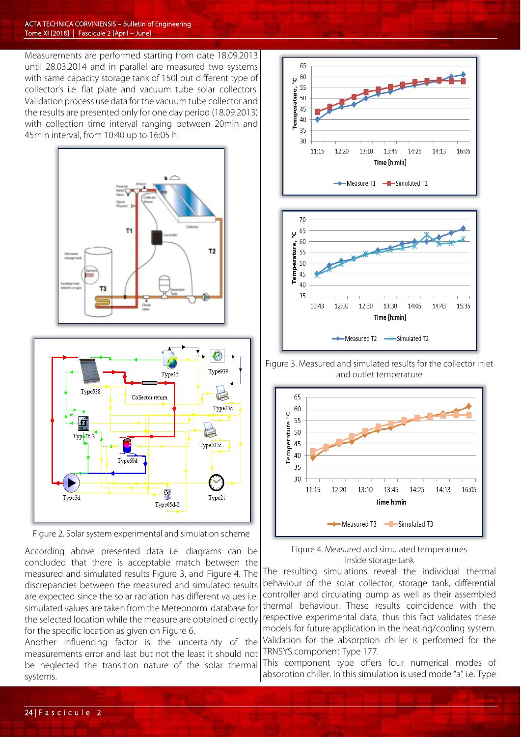#### A CTA TECHNICA CORVINIENSIS – Bulletin of Engineering Tome XI [2018] | Fascicule 2 [April – June]

Measurements are performed starting from date 18.09.2013 until 28.03.2014 and in parallel are measured two systems with same capacity storage tank of 150l but different type of collector's i.e. flat plate and vacuum tube solar collectors. Validation process use data for the vacuum tube collector and the results are presented only for one day period (18.09.2013) with collection time interval ranging between 20min and 45min interval, from 10:40 up to 16:05 h.





Figure 2. Solar system experimental and simulation scheme

According above presented data i.e. diagrams can be concluded that there is acceptable match between the measured and simulated results Figure 3, and Figure 4. The discrepancies between the measured and simulated results are expected since the solar radiation has different values i.e. simulated values are taken from the Meteonorm database for the selected location while the measure are obtained directly for the specific location as given on Figure 6.

Another influencing factor is the uncertainty of the measurements error and last but not the least it should not be neglected the transition nature of the solar thermal systems.





 Figure 3. Measured and simulated results for the collector inlet and outlet temperature





The resulting simulations reveal the individual thermal behaviour of the solar collector, storage tank, differential controller and circulating pump as well as their assembled thermal behaviour. These results coincidence with the respective experimental data, thus this fact validates these models for future application in the heating/cooling system. Validation for the absorption chiller is performed for the TRNSYS component Type 177.

This component type offers four numerical modes of absorption chiller. In this simulation is used mode "a" i.e. Type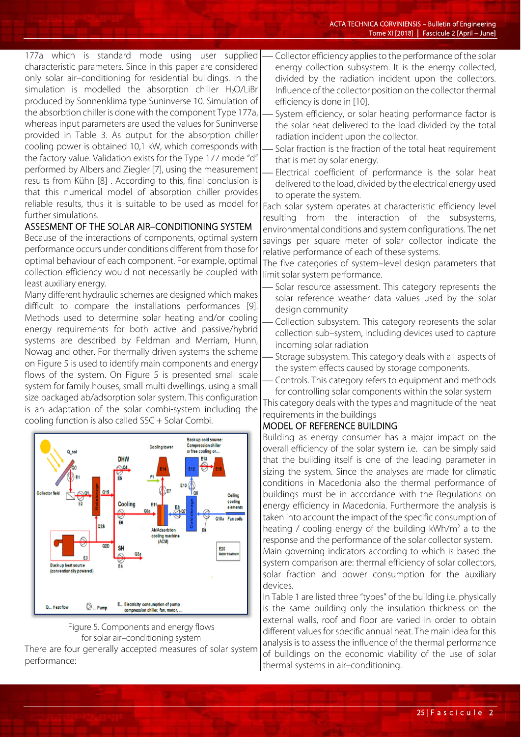177a which is standard mode using user supplied characteristic parameters. Since in this paper are considered only solar air–conditioning for residential buildings. In the simulation is modelled the absorption chiller  $H_2O/LiBr$ produced by Sonnenklima type Suninverse 10. Simulation of the absorbtion chiller is done with the component Type 177a, whereas input parameters are used the values for Suninverse provided in Table 3. As output for the absorption chiller cooling power is obtained 10,1 kW, which corresponds with the factory value. Validation exists for the Type 177 mode "d" performed by Albers and Ziegler [7], using the measurement results from Kühn [8] . According to this, final conclusion is that this numerical model of absorption chiller provides reliable results, thus it is suitable to be used as model for further simulations.

### ASSESMENT OF THE SOLAR AIR–CONDITIONING SYSTEM

Because of the interactions of components, optimal system performance occurs under conditions different from those for optimal behaviour of each component. For example, optimal collection efficiency would not necessarily be coupled with least auxiliary energy.

Many different hydraulic schemes are designed which makes difficult to compare the installations performances [9]. Methods used to determine solar heating and/or cooling energy requirements for both active and passive/hybrid systems are described by Feldman and Merriam, Hunn, Nowag and other. For thermally driven systems the scheme on Figure 5 is used to identify main components and energy flows of the system. On Figure 5 is presented small scale system for family houses, small multi dwellings, using a small size packaged ab/adsorption solar system. This configuration is an adaptation of the solar combi-system including the cooling function is also called SSC + Solar Combi.





There are four generally accepted measures of solar system performance:

 Collector efficiency applies to the performance of the solar energy collection subsystem. It is the energy collected, divided by the radiation incident upon the collectors. Influence of the collector position on the collector thermal efficiency is done in [10].

- System efficiency, or solar heating performance factor is the solar heat delivered to the load divided by the total radiation incident upon the collector.
- Solar fraction is the fraction of the total heat requirement that is met by solar energy.
- Electrical coefficient of performance is the solar heat delivered to the load, divided by the electrical energy used to operate the system.

Each solar system operates at characteristic efficiency level resulting from the interaction of the subsystems, environmental conditions and system configurations. The net savings per square meter of solar collector indicate the relative performance of each of these systems.

The five categories of system–level design parameters that limit solar system performance.

- Solar resource assessment. This category represents the solar reference weather data values used by the solar design community
- Collection subsystem. This category represents the solar collection sub–system, including devices used to capture incoming solar radiation
- Storage subsystem. This category deals with all aspects of the system effects caused by storage components.
- Controls. This category refers to equipment and methods

for controlling solar components within the solar system This category deals with the types and magnitude of the heat requirements in the buildings

### MODEL OF REFERENCE BUILDING

Building as energy consumer has a major impact on the overall efficiency of the solar system i.e. can be simply said that the building itself is one of the leading parameter in sizing the system. Since the analyses are made for climatic conditions in Macedonia also the thermal performance of buildings must be in accordance with the Regulations on energy efficiency in Macedonia. Furthermore the analysis is taken into account the impact of the specific consumption of heating / cooling energy of the building  $kWh/m^2$  a to the response and the performance of the solar collector system.

Main governing indicators according to which is based the system comparison are: thermal efficiency of solar collectors, solar fraction and power consumption for the auxiliary devices.

In Table 1 are listed three "types" of the building i.e. physically is the same building only the insulation thickness on the external walls, roof and floor are varied in order to obtain different values for specific annual heat. The main idea for this analysis is to assess the influence of the thermal performance of buildings on the economic viability of the use of solar thermal systems in air–conditioning.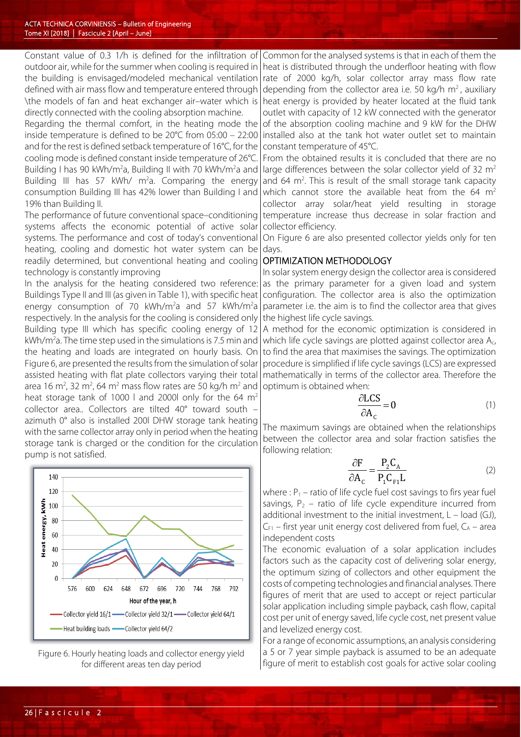Constant value of 0.3 1/h is defined for the infiltration of outdoor air, while for the summer when cooling is required in the building is envisaged/modeled mechanical ventilation defined with air mass flow and temperature entered through \the models of fan and heat exchanger air–water which is directly connected with the cooling absorption machine.

Regarding the thermal comfort, in the heating mode the inside temperature is defined to be 20°C from 05:00 – 22:00 and for the rest is defined setback temperature of 16°C, for the cooling mode is defined constant inside temperature of 26°C. Building I has 90 kWh/m<sup>2</sup>a, Building II with 70 kWh/m<sup>2</sup>a and Building III has 57 kWh/  $m^2$ a. Comparing the energy consumption Building III has 42% lower than Building I and 19% than Building II.

The performance of future conventional space–conditioning systems affects the economic potential of active solar systems. The performance and cost of today's conventional heating, cooling and domestic hot water system can be readily determined, but conventional heating and cooling technology is constantly improving

In the analysis for the heating considered two reference: Buildings Type II and III (as given in Table 1), with specific heat energy consumption of 70 kWh/m<sup>2</sup>a and 57 kWh/m<sup>2</sup>a respectively. In the analysis for the cooling is considered only Building type III which has specific cooling energy of 12 kWh/m<sup>2</sup>a. The time step used in the simulations is 7.5 min and the heating and loads are integrated on hourly basis. On Figure 6, are presented the results from the simulation of solar assisted heating with flat plate collectors varying their total area 16 m<sup>2</sup>, 32 m<sup>2</sup>, 64 m<sup>2</sup> mass flow rates are 50 kg/h m<sup>2</sup> and heat storage tank of 1000 l and 2000l only for the 64  $m<sup>2</sup>$ collector area.. Collectors are tilted 40° toward south – azimuth 0° also is installed 200l DHW storage tank heating with the same collector array only in period when the heating storage tank is charged or the condition for the circulation pump is not satisfied.



Figure 6. Hourly heating loads and collector energy yield for different areas ten day period

Common for the analysed systems is that in each of them the heat is distributed through the underfloor heating with flow rate of 2000 kg/h, solar collector array mass flow rate depending from the collector area i.e. 50 kg/h  $m<sup>2</sup>$ , auxiliary heat energy is provided by heater located at the fluid tank outlet with capacity of 12 kW connected with the generator of the absorption cooling machine and 9 kW for the DHW installed also at the tank hot water outlet set to maintain constant temperature of 45°C.

From the obtained results it is concluded that there are no large differences between the solar collector yield of 32  $m<sup>2</sup>$ and  $64 \, \text{m}^2$ . This is result of the small storage tank capacity which cannot store the available heat from the 64  $m<sup>2</sup>$ collector array solar/heat yield resulting in storage temperature increase thus decrease in solar fraction and collector efficiency.

On Figure 6 are also presented collector yields only for ten days.

#### OPTIMIZATION METHODOLOGY

In solar system energy design the collector area is considered as the primary parameter for a given load and system configuration. The collector area is also the optimization parameter i.e. the aim is to find the collector area that gives the highest life cycle savings.

A method for the economic optimization is considered in which life cycle savings are plotted against collector area A<sub>c</sub>, to find the area that maximises the savings. The optimization procedure is simplified if life cycle savings (LCS) are expressed mathematically in terms of the collector area. Therefore the optimum is obtained when:

$$
\frac{\partial LCS}{\partial A_c} = 0 \tag{1}
$$

The maximum savings are obtained when the relationships between the collector area and solar fraction satisfies the following relation:

$$
\frac{\partial F}{\partial A_{c}} = \frac{P_{2}C_{A}}{P_{1}C_{F1}L}
$$
 (2)

where :  $P_1$  – ratio of life cycle fuel cost savings to firs year fuel savings,  $P_2$  – ratio of life cycle expenditure incurred from additional investment to the initial investment, L – load (GJ),  $C_{F1}$  – first year unit energy cost delivered from fuel,  $C_A$  – area independent costs

The economic evaluation of a solar application includes factors such as the capacity cost of delivering solar energy, the optimum sizing of collectors and other equipment the costs of competing technologies and financial analyses. There figures of merit that are used to accept or reject particular solar application including simple payback, cash flow, capital cost per unit of energy saved, life cycle cost, net present value and levelized energy cost.

For a range of economic assumptions, an analysis considering a 5 or 7 year simple payback is assumed to be an adequate figure of merit to establish cost goals for active solar cooling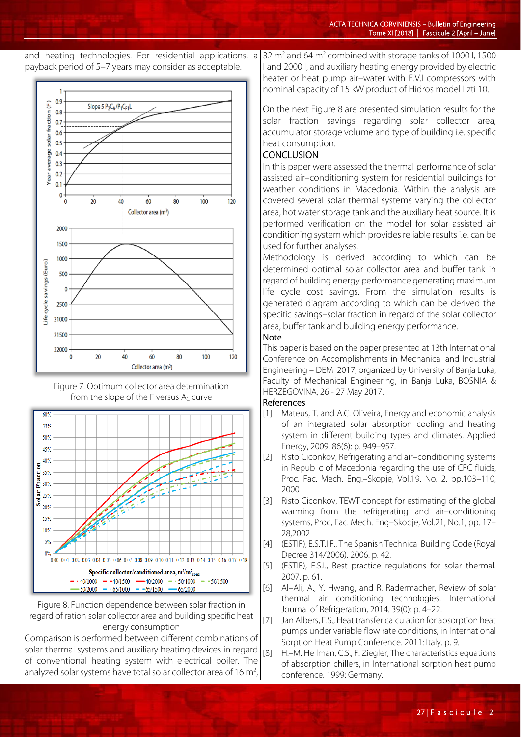







Figure 8. Function dependence between solar fraction in regard of ration solar collector area and building specific heat energy consumption

Comparison is performed between different combinations of solar thermal systems and auxiliary heating devices in regard of conventional heating system with electrical boiler. The analyzed solar systems have total solar collector area of 16 $m<sup>2</sup>$ ,

32 m2 and 64 m2 combined with storage tanks of 1000 l, 1500 l and 2000 l, and auxiliary heating energy provided by electric heater or heat pump air–water with E.V.I compressors with nominal capacity of 15 kW product of Hidros model Lzti 10.

On the next Figure 8 are presented simulation results for the solar fraction savings regarding solar collector area, accumulator storage volume and type of building i.e. specific heat consumption.

# **CONCLUSION**

In this paper were assessed the thermal performance of solar assisted air–conditioning system for residential buildings for weather conditions in Macedonia. Within the analysis are covered several solar thermal systems varying the collector area, hot water storage tank and the auxiliary heat source. It is performed verification on the model for solar assisted air conditioning system which provides reliable results i.e. can be used for further analyses.

Methodology is derived according to which can be determined optimal solar collector area and buffer tank in regard of building energy performance generating maximum life cycle cost savings. From the simulation results is generated diagram according to which can be derived the specific savings–solar fraction in regard of the solar collector area, buffer tank and building energy performance.

#### Note

This paper is based on the paper presented at 13th International Conference on Accomplishments in Mechanical and Industrial Engineering – DEMI 2017, organized by University of Banja Luka, Faculty of Mechanical Engineering, in Banja Luka, BOSNIA & HERZEGOVINA, 26 - 27 May 2017.

### References

- [1] Mateus, T. and A.C. Oliveira, Energy and economic analysis of an integrated solar absorption cooling and heating system in different building types and climates. Applied Energy, 2009. 86(6): p. 949–957.
- [2] Risto Ciconkov, Refrigerating and air-conditioning systems in Republic of Macedonia regarding the use of CFC fluids, Proc. Fac. Mech. Eng.–Skopje, Vol.19, No. 2, pp.103–110, 2000
- [3] Risto Ciconkov, TEWT concept for estimating of the global warming from the refrigerating and air–conditioning systems, Proc, Fac. Mech. Eng–Skopje, Vol.21, No.1, pp. 17– 28,2002
- [4] (ESTIF), E.S.T.I.F., The Spanish Technical Building Code (Royal Decree 314/2006). 2006. p. 42.
- [5] (ESTIF), E.S.I., Best practice regulations for solar thermal. 2007. p. 61.
- [6] Al–Ali, A., Y. Hwang, and R. Radermacher, Review of solar thermal air conditioning technologies. International Journal of Refrigeration, 2014. 39(0): p. 4–22.
- [7] Jan Albers, F.S., Heat transfer calculation for absorption heat pumps under variable flow rate conditions, in International Sorption Heat Pump Conference. 2011: Italy. p. 9.
- [8] H.–M. Hellman, C.S., F. Ziegler, The characteristics equations of absorption chillers, in International sorption heat pump conference. 1999: Germany.